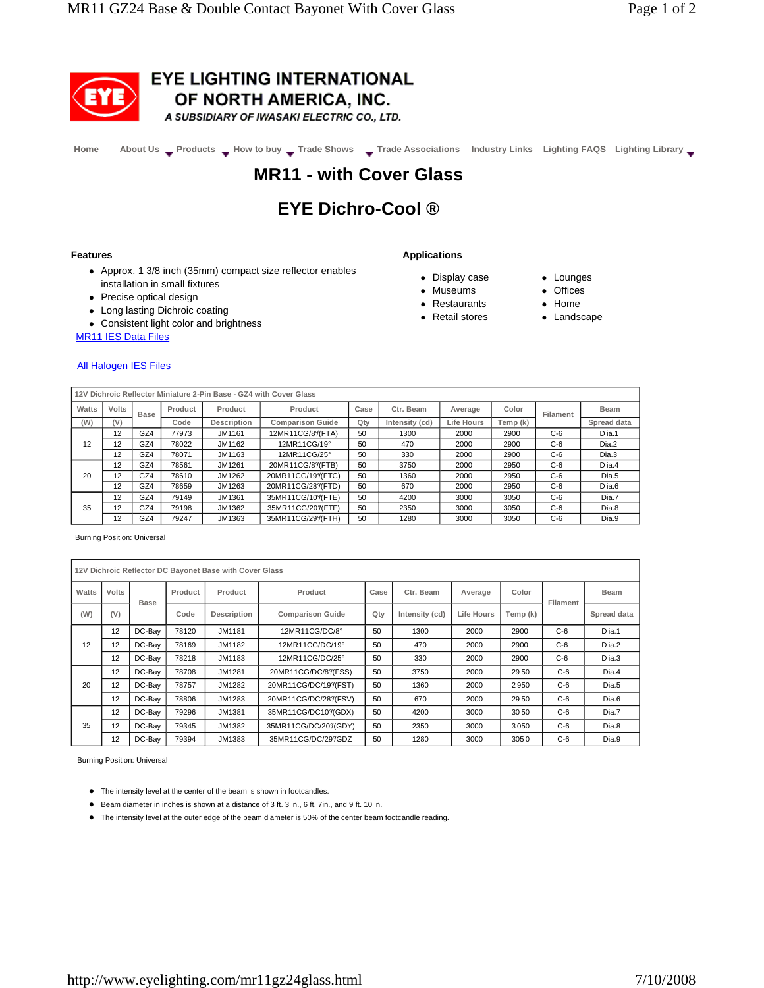

### **EYE LIGHTING INTERNATIONAL** OF NORTH AMERICA, INC.

A SUBSIDIARY OF IWASAKI ELECTRIC CO., LTD.

**Home About Us Products How to buy Trade Shows Trade Associations Industry Links Lighting FAQS Lighting Library**

# **MR11 - with Cover Glass**

## **EYE Dichro-Cool ®**

### **Features Applications**

- Approx. 1 3/8 inch (35mm) compact size reflector enables installation in small fixtures
- Precise optical design
- Long lasting Dichroic coating
- Consistent light color and brightness

**MR11 IES Data Files** 

#### **All Halogen IES Files**

- Display case
- Museums
- Restaurants
- Retail stores
- Lounges
- Offices
- Home
- Landscape

| 12V Dichroic Reflector Miniature 2-Pin Base - GZ4 with Cover Glass |       |      |         |             |                         |      |                |            |          |          |             |
|--------------------------------------------------------------------|-------|------|---------|-------------|-------------------------|------|----------------|------------|----------|----------|-------------|
| Watts                                                              | Volts | Base | Product | Product     | Product                 | Case | Ctr. Beam      | Average    | Color    | Filament | <b>Beam</b> |
| (W)                                                                | (V)   |      | Code    | Description | <b>Comparison Guide</b> | Qtv  | Intensity (cd) | Life Hours | Temp (k) |          | Spread data |
| 12                                                                 | 12    | GZ4  | 77973   | JM1161      | 12MR11CG/8%(FTA)        | 50   | 1300           | 2000       | 2900     | $C-6$    | Dia.1       |
|                                                                    | 12    | GZ4  | 78022   | JM1162      | 12MR11CG/19°            | 50   | 470            | 2000       | 2900     | $C-6$    | Dia.2       |
|                                                                    | 12    | GZ4  | 78071   | JM1163      | 12MR11CG/25°            | 50   | 330            | 2000       | 2900     | $C-6$    | Dia.3       |
| 20                                                                 | 12    | GZ4  | 78561   | JM1261      | 20MR11CG/8%/FTB)        | 50   | 3750           | 2000       | 2950     | $C-6$    | Dia.4       |
|                                                                    | 12    | GZ4  | 78610   | JM1262      | 20MR11CG/197(FTC)       | 50   | 1360           | 2000       | 2950     | $C-6$    | Dia.5       |
|                                                                    | 12    | GZ4  | 78659   | JM1263      | 20MR11CG/28%(FTD)       | 50   | 670            | 2000       | 2950     | $C-6$    | $D$ ia.6    |
| 35                                                                 | 12    | GZ4  | 79149   | JM1361      | 35MR11CG/10%FTE)        | 50   | 4200           | 3000       | 3050     | $C-6$    | Dia.7       |
|                                                                    | 12    | GZ4  | 79198   | JM1362      | 35MR11CG/20%FTF)        | 50   | 2350           | 3000       | 3050     | $C-6$    | Dia.8       |
|                                                                    | 12    | GZ4  | 79247   | JM1363      | 35MR11CG/29%(FTH)       | 50   | 1280           | 3000       | 3050     | $C-6$    | Dia.9       |

Burning Position: Universal

| 12V Dichroic Reflector DC Bayonet Base with Cover Glass |       |        |         |             |                         |      |                |            |          |                 |             |
|---------------------------------------------------------|-------|--------|---------|-------------|-------------------------|------|----------------|------------|----------|-----------------|-------------|
| Watts                                                   | Volts | Base   | Product | Product     | Product                 | Case | Ctr. Beam      | Average    | Color    | <b>Filament</b> | <b>Beam</b> |
| (W)                                                     | (V)   |        | Code    | Description | <b>Comparison Guide</b> | Qty  | Intensity (cd) | Life Hours | Temp (k) |                 | Spread data |
| 12                                                      | 12    | DC-Bav | 78120   | JM1181      | 12MR11CG/DC/8°          | 50   | 1300           | 2000       | 2900     | $C-6$           | D ia.1      |
|                                                         | 12    | DC-Bav | 78169   | JM1182      | 12MR11CG/DC/19°         | 50   | 470            | 2000       | 2900     | $C-6$           | $D$ ia. $2$ |
|                                                         | 12    | DC-Bay | 78218   | JM1183      | 12MR11CG/DC/25°         | 50   | 330            | 2000       | 2900     | $C-6$           | $D$ ia.3    |
| 20                                                      | 12    | DC-Bav | 78708   | JM1281      | 20MR11CG/DC/89(FSS)     | 50   | 3750           | 2000       | 29 50    | $C-6$           | Dia.4       |
|                                                         | 12    | DC-Bay | 78757   | JM1282      | 20MR11CG/DC/197(FST)    | 50   | 1360           | 2000       | 2950     | $C-6$           | Dia.5       |
|                                                         | 12    | DC-Bay | 78806   | JM1283      | 20MR11CG/DC/289(FSV)    | 50   | 670            | 2000       | 29 50    | $C-6$           | Dia.6       |
| 35                                                      | 12    | DC-Bay | 79296   | JM1381      | 35MR11CG/DC10%GDX)      | 50   | 4200           | 3000       | 30 50    | $C-6$           | Dia.7       |
|                                                         | 12    | DC-Bay | 79345   | JM1382      | 35MR11CG/DC/20%(GDY)    | 50   | 2350           | 3000       | 3050     | $C-6$           | Dia.8       |
|                                                         | 12    | DC-Bay | 79394   | JM1383      | 35MR11CG/DC/299GDZ      | 50   | 1280           | 3000       | 3050     | $C-6$           | Dia.9       |

Burning Position: Universal

- The intensity level at the center of the beam is shown in footcandles.
- Beam diameter in inches is shown at a distance of 3 ft. 3 in., 6 ft. 7in., and 9 ft. 10 in.
- The intensity level at the outer edge of the beam diameter is 50% of the center beam footcandle reading.